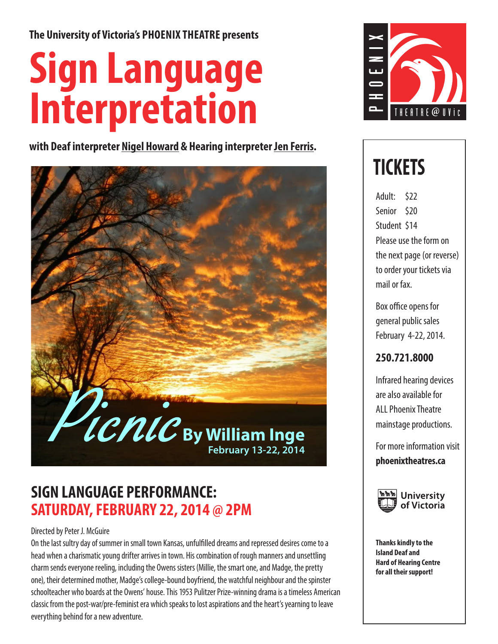**The University of Victoria's PHOENIX THEATRE presents** 

# **Sign Language Interpretation**

**with Deaf interpreter Nigel Howard & Hearing interpreter Jen Ferris.**



### **SIGN LANGUAGE PERFORMANCE: SATURDAY, FEBRUARY 22, 2014 @ 2PM**

### Directed by Peter J. McGuire

On the last sultry day of summer in small town Kansas, unfulfilled dreams and repressed desires come to a head when a charismatic young drifter arrives in town. His combination of rough manners and unsettling charm sends everyone reeling, including the Owens sisters (Millie, the smart one, and Madge, the pretty one), their determined mother, Madge's college-bound boyfriend, the watchful neighbour and the spinster schoolteacher who boards at the Owens' house. This 1953 Pulitzer Prize-winning drama is a timeless American classic from the post-war/pre-feminist era which speaks to lost aspirations and the heart's yearning to leave everything behind for a new adventure.



### **TICKETS**

Adult: \$22 Senior \$20 Student \$14 Please use the form on the next page (or reverse) to order your tickets via mail or fax.

Box office opens for general public sales February 4-22, 2014.

### **250.721.8000**

Infrared hearing devices are also available for ALL Phoenix Theatre mainstage productions.

For more information visit **phoenixtheatres.ca**



**Thanks kindly to the Island Deaf and Hard of Hearing Centre for all their support!**